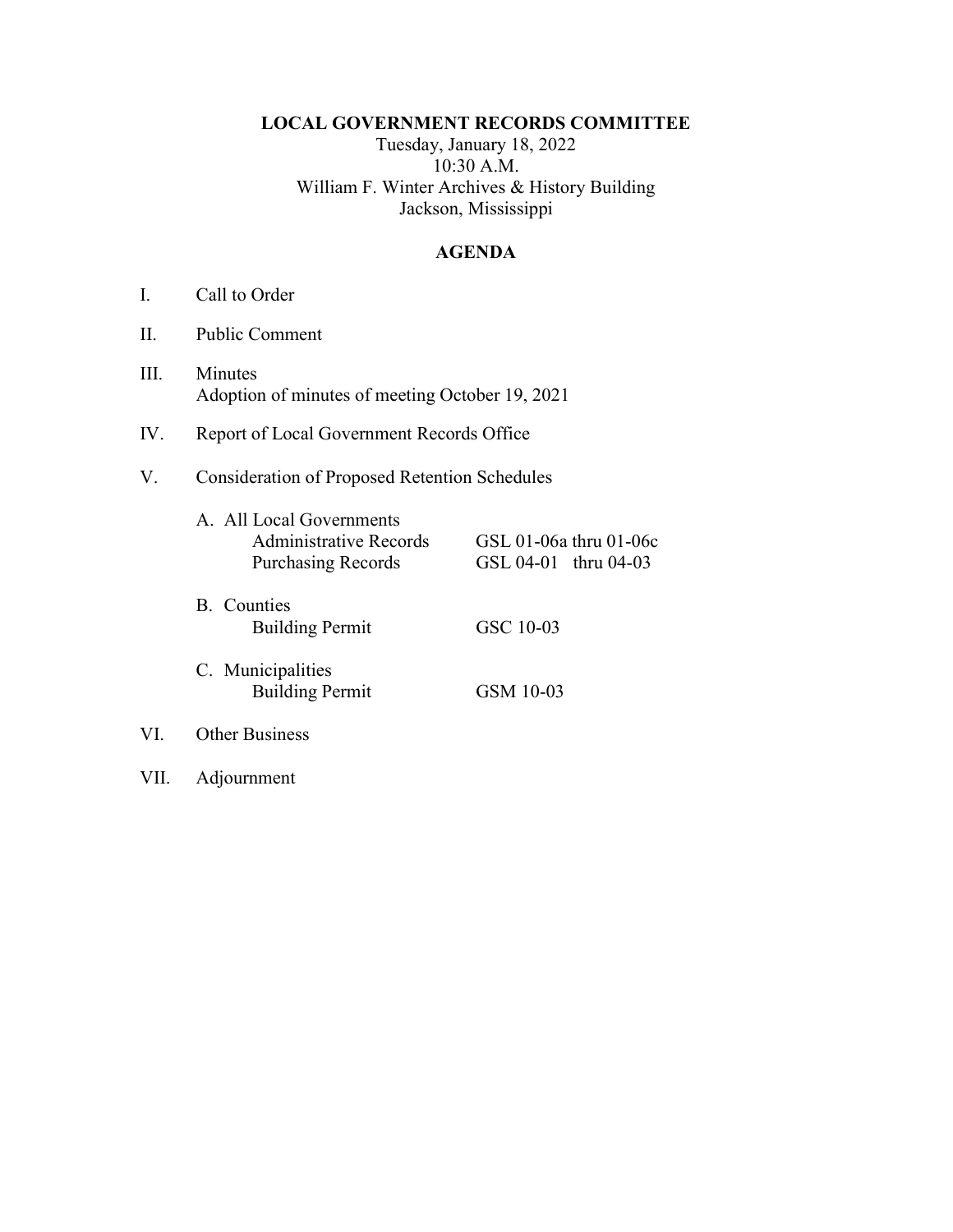### LOCAL GOVERNMENT RECORDS COMMITTEE

Tuesday, January 18, 2022 10:30 A.M. William F. Winter Archives & History Building Jackson, Mississippi

#### AGENDA

- I. Call to Order
- II. Public Comment
- III. Minutes Adoption of minutes of meeting October 19, 2021
- IV. Report of Local Government Records Office
- V. Consideration of Proposed Retention Schedules

|     | A. All Local Governments<br>Administrative Records<br><b>Purchasing Records</b> | GSL 01-06a thru 01-06c<br>GSL 04-01 thru 04-03 |
|-----|---------------------------------------------------------------------------------|------------------------------------------------|
|     | B. Counties<br><b>Building Permit</b>                                           | GSC 10-03                                      |
|     | C. Municipalities<br><b>Building Permit</b>                                     | GSM 10-03                                      |
| VI. | <b>Other Business</b>                                                           |                                                |

VII. Adjournment

VI.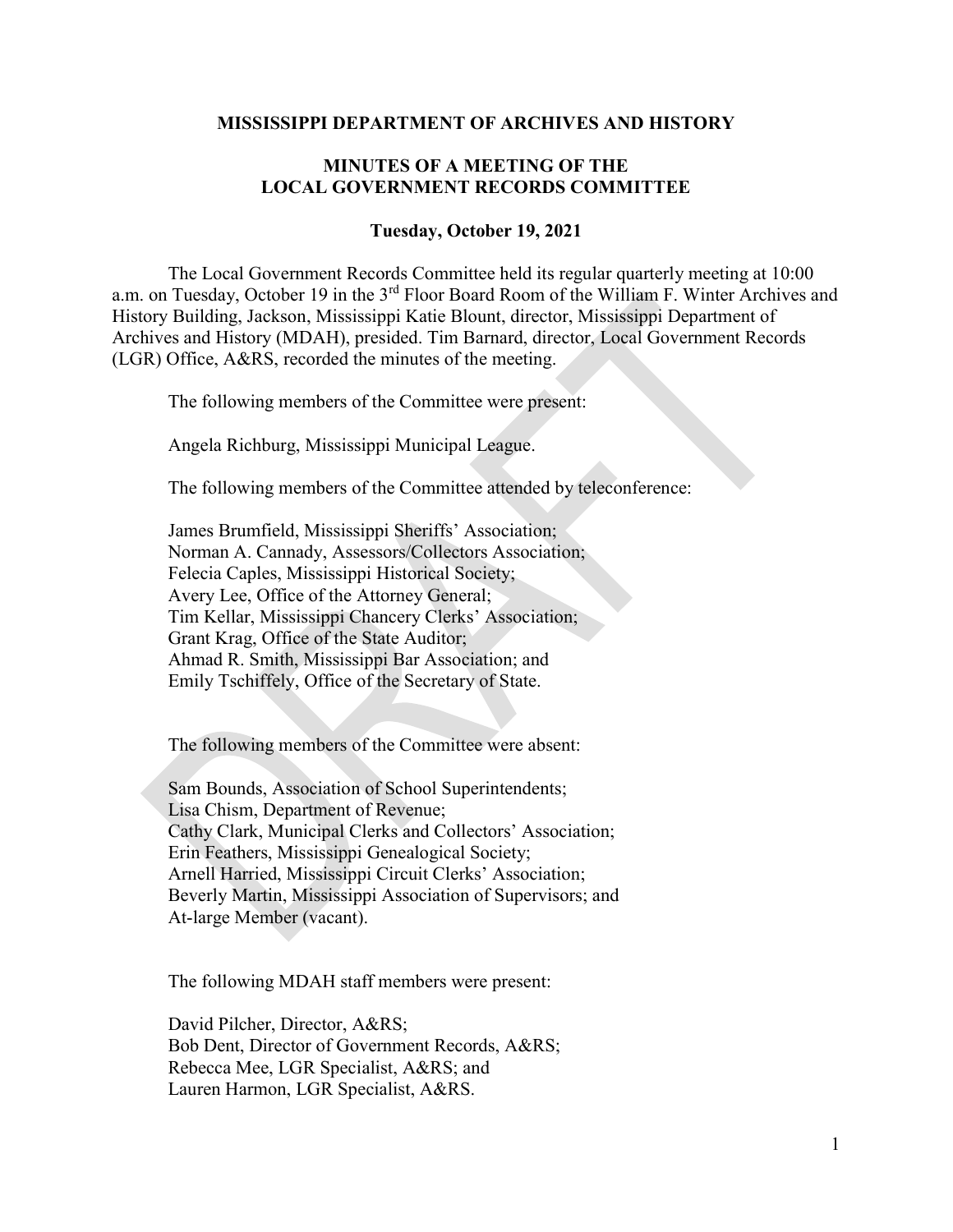#### MISSISSIPPI DEPARTMENT OF ARCHIVES AND HISTORY

### MINUTES OF A MEETING OF THE LOCAL GOVERNMENT RECORDS COMMITTEE

#### Tuesday, October 19, 2021

 The Local Government Records Committee held its regular quarterly meeting at 10:00 a.m. on Tuesday, October 19 in the 3<sup>rd</sup> Floor Board Room of the William F. Winter Archives and History Building, Jackson, Mississippi Katie Blount, director, Mississippi Department of Archives and History (MDAH), presided. Tim Barnard, director, Local Government Records (LGR) Office, A&RS, recorded the minutes of the meeting.

The following members of the Committee were present:

Angela Richburg, Mississippi Municipal League.

The following members of the Committee attended by teleconference:

James Brumfield, Mississippi Sheriffs' Association; Norman A. Cannady, Assessors/Collectors Association; Felecia Caples, Mississippi Historical Society; Avery Lee, Office of the Attorney General; Tim Kellar, Mississippi Chancery Clerks' Association; Grant Krag, Office of the State Auditor; Ahmad R. Smith, Mississippi Bar Association; and Emily Tschiffely, Office of the Secretary of State.

The following members of the Committee were absent:

Sam Bounds, Association of School Superintendents; Lisa Chism, Department of Revenue; Cathy Clark, Municipal Clerks and Collectors' Association; Erin Feathers, Mississippi Genealogical Society; Arnell Harried, Mississippi Circuit Clerks' Association; Beverly Martin, Mississippi Association of Supervisors; and At-large Member (vacant).

The following MDAH staff members were present:

David Pilcher, Director, A&RS; Bob Dent, Director of Government Records, A&RS; Rebecca Mee, LGR Specialist, A&RS; and Lauren Harmon, LGR Specialist, A&RS.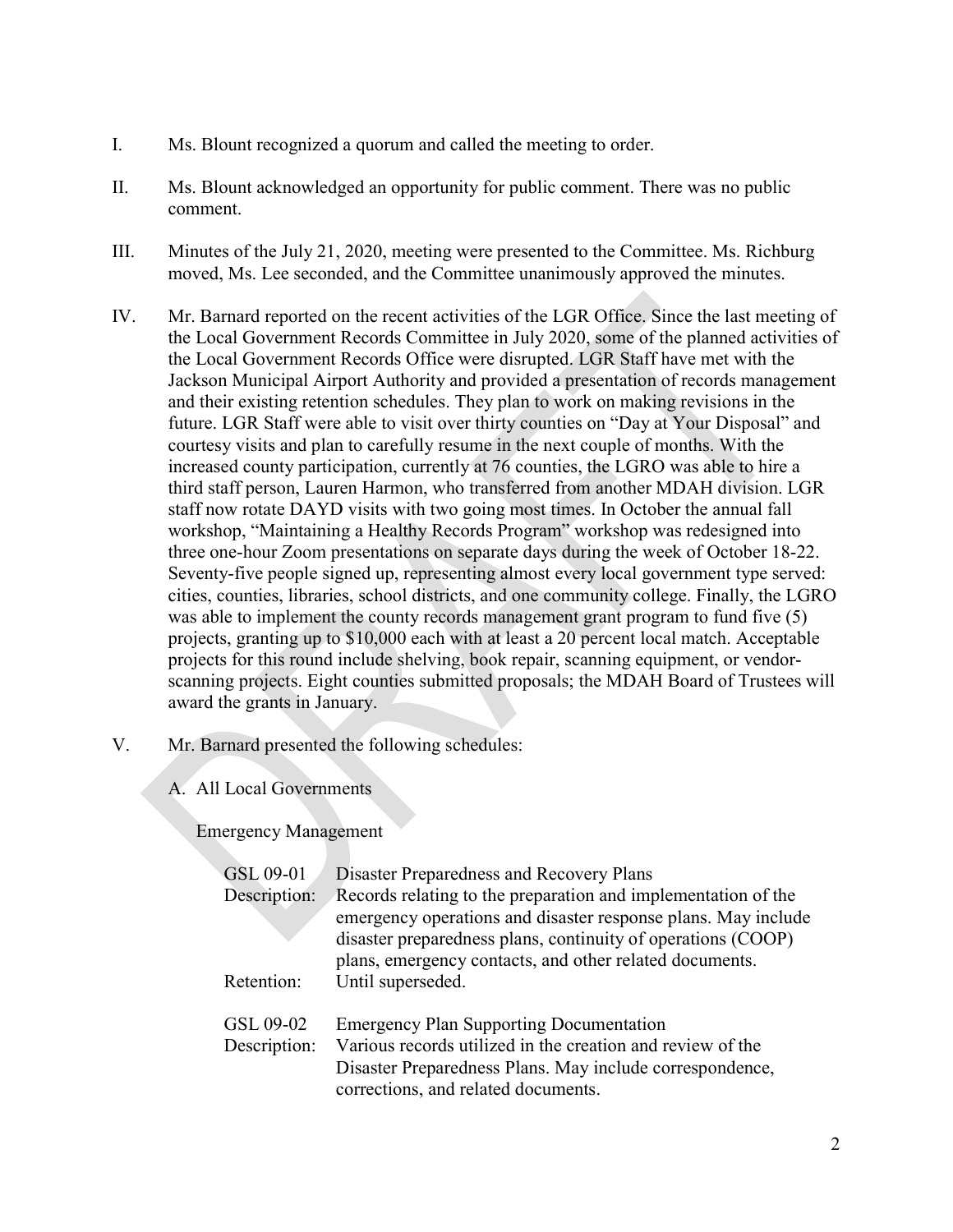- I. Ms. Blount recognized a quorum and called the meeting to order.
- II. Ms. Blount acknowledged an opportunity for public comment. There was no public comment.
- III. Minutes of the July 21, 2020, meeting were presented to the Committee. Ms. Richburg moved, Ms. Lee seconded, and the Committee unanimously approved the minutes.
- IV. Mr. Barnard reported on the recent activities of the LGR Office. Since the last meeting of the Local Government Records Committee in July 2020, some of the planned activities of the Local Government Records Office were disrupted. LGR Staff have met with the Jackson Municipal Airport Authority and provided a presentation of records management and their existing retention schedules. They plan to work on making revisions in the future. LGR Staff were able to visit over thirty counties on "Day at Your Disposal" and courtesy visits and plan to carefully resume in the next couple of months. With the increased county participation, currently at 76 counties, the LGRO was able to hire a third staff person, Lauren Harmon, who transferred from another MDAH division. LGR staff now rotate DAYD visits with two going most times. In October the annual fall workshop, "Maintaining a Healthy Records Program" workshop was redesigned into three one-hour Zoom presentations on separate days during the week of October 18-22. Seventy-five people signed up, representing almost every local government type served: cities, counties, libraries, school districts, and one community college. Finally, the LGRO was able to implement the county records management grant program to fund five (5) projects, granting up to \$10,000 each with at least a 20 percent local match. Acceptable projects for this round include shelving, book repair, scanning equipment, or vendorscanning projects. Eight counties submitted proposals; the MDAH Board of Trustees will award the grants in January.
- V. Mr. Barnard presented the following schedules:
	- A. All Local Governments

Emergency Management

| GSL 09-01<br>Description: | Disaster Preparedness and Recovery Plans<br>Records relating to the preparation and implementation of the<br>emergency operations and disaster response plans. May include<br>disaster preparedness plans, continuity of operations (COOP)<br>plans, emergency contacts, and other related documents. |
|---------------------------|-------------------------------------------------------------------------------------------------------------------------------------------------------------------------------------------------------------------------------------------------------------------------------------------------------|
| Retention:                | Until superseded.                                                                                                                                                                                                                                                                                     |
| GSL 09-02<br>Description: | <b>Emergency Plan Supporting Documentation</b><br>Various records utilized in the creation and review of the<br>Disaster Preparedness Plans. May include correspondence,<br>corrections, and related documents.                                                                                       |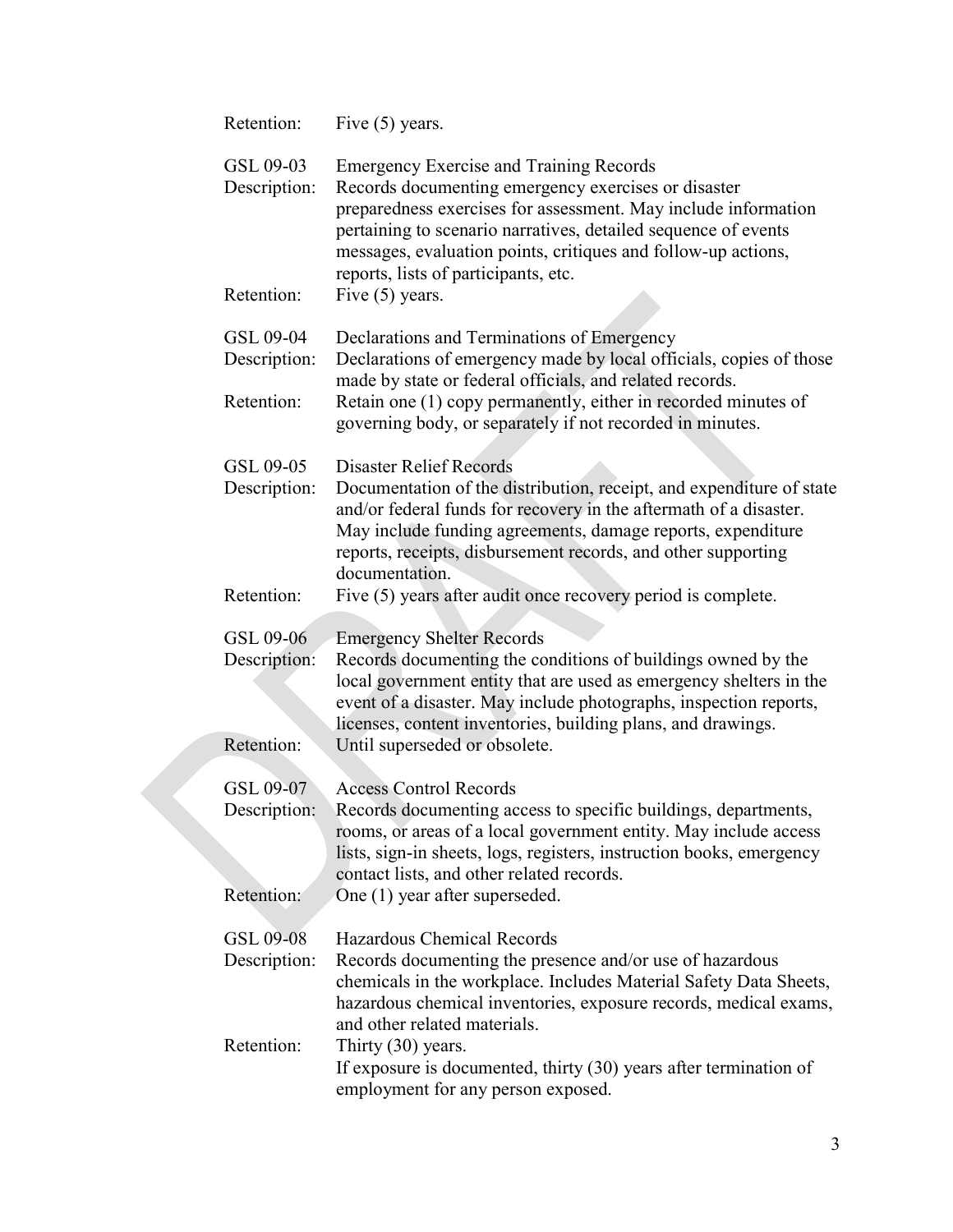| Retention:                              | Five $(5)$ years.                                                                                                                                                                                                                                                                                                                                                                             |
|-----------------------------------------|-----------------------------------------------------------------------------------------------------------------------------------------------------------------------------------------------------------------------------------------------------------------------------------------------------------------------------------------------------------------------------------------------|
| GSL 09-03<br>Description:<br>Retention: | <b>Emergency Exercise and Training Records</b><br>Records documenting emergency exercises or disaster<br>preparedness exercises for assessment. May include information<br>pertaining to scenario narratives, detailed sequence of events<br>messages, evaluation points, critiques and follow-up actions,<br>reports, lists of participants, etc.<br>Five $(5)$ years.                       |
| GSL 09-04<br>Description:<br>Retention: | Declarations and Terminations of Emergency<br>Declarations of emergency made by local officials, copies of those<br>made by state or federal officials, and related records.<br>Retain one (1) copy permanently, either in recorded minutes of<br>governing body, or separately if not recorded in minutes.                                                                                   |
| GSL 09-05<br>Description:<br>Retention: | <b>Disaster Relief Records</b><br>Documentation of the distribution, receipt, and expenditure of state<br>and/or federal funds for recovery in the aftermath of a disaster.<br>May include funding agreements, damage reports, expenditure<br>reports, receipts, disbursement records, and other supporting<br>documentation.<br>Five (5) years after audit once recovery period is complete. |
|                                         |                                                                                                                                                                                                                                                                                                                                                                                               |
| GSL 09-06<br>Description:               | <b>Emergency Shelter Records</b><br>Records documenting the conditions of buildings owned by the<br>local government entity that are used as emergency shelters in the<br>event of a disaster. May include photographs, inspection reports,<br>licenses, content inventories, building plans, and drawings.                                                                                   |
| Retention:                              | Until superseded or obsolete.                                                                                                                                                                                                                                                                                                                                                                 |
| GSL 09-07<br>Description:<br>Retention: | <b>Access Control Records</b><br>Records documenting access to specific buildings, departments,<br>rooms, or areas of a local government entity. May include access<br>lists, sign-in sheets, logs, registers, instruction books, emergency<br>contact lists, and other related records.<br>One (1) year after superseded.                                                                    |
| GSL 09-08<br>Description:<br>Retention: | Hazardous Chemical Records<br>Records documenting the presence and/or use of hazardous<br>chemicals in the workplace. Includes Material Safety Data Sheets,<br>hazardous chemical inventories, exposure records, medical exams,<br>and other related materials.<br>Thirty (30) years.                                                                                                         |
|                                         | If exposure is documented, thirty (30) years after termination of<br>employment for any person exposed.                                                                                                                                                                                                                                                                                       |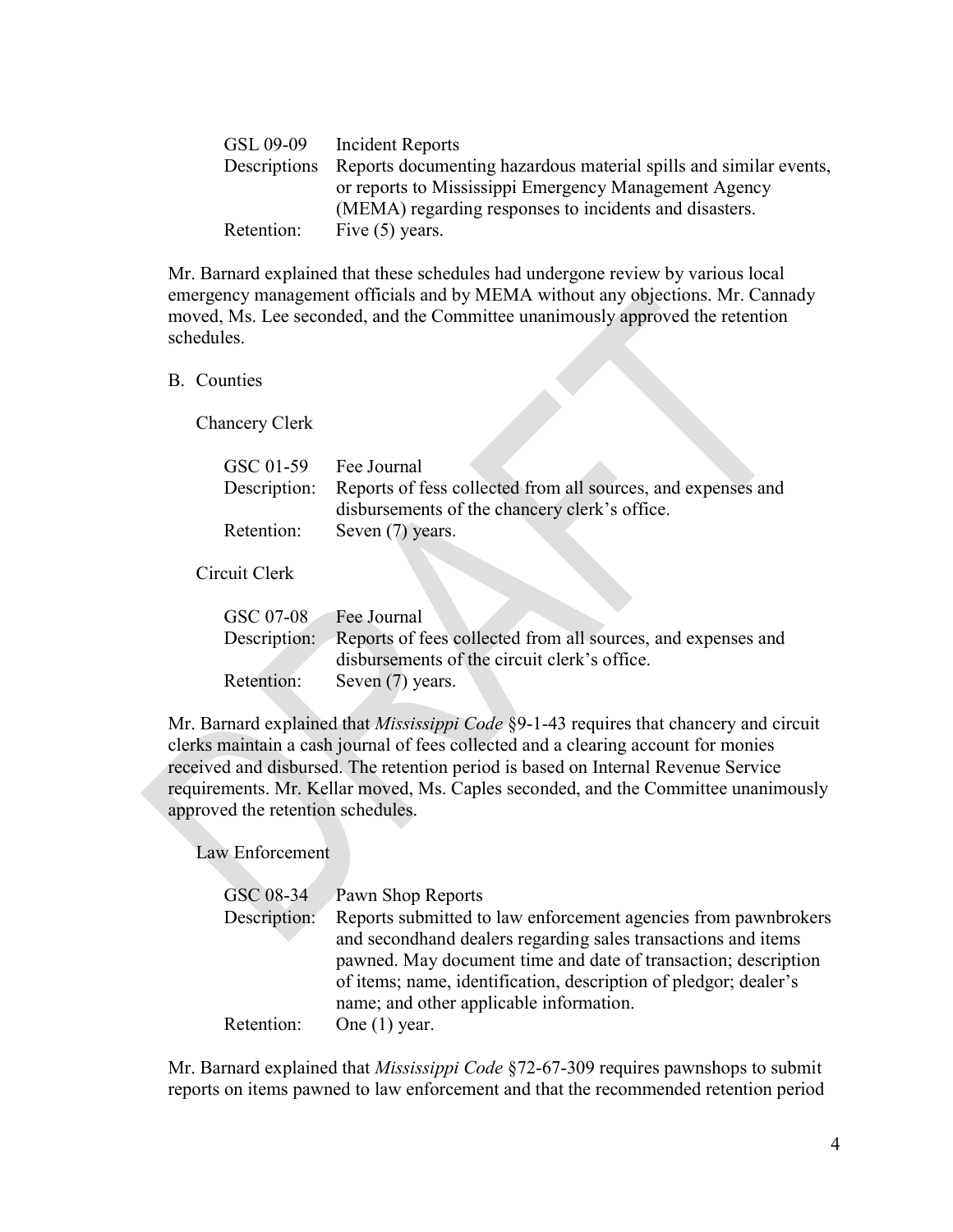|            | GSL 09-09 Incident Reports                                                     |
|------------|--------------------------------------------------------------------------------|
|            | Descriptions Reports documenting hazardous material spills and similar events, |
|            | or reports to Mississippi Emergency Management Agency                          |
|            | (MEMA) regarding responses to incidents and disasters.                         |
| Retention: | Five $(5)$ years.                                                              |

Mr. Barnard explained that these schedules had undergone review by various local emergency management officials and by MEMA without any objections. Mr. Cannady moved, Ms. Lee seconded, and the Committee unanimously approved the retention schedules.

#### B. Counties

Chancery Clerk

| Description: Reports of fess collected from all sources, and expenses and |
|---------------------------------------------------------------------------|
|                                                                           |
| disbursements of the chancery clerk's office.                             |
| Retention: Seven (7) years.                                               |
|                                                                           |
| Circuit Clerk                                                             |

| GSC 07-08 Fee Journal |                                                                           |
|-----------------------|---------------------------------------------------------------------------|
|                       | Description: Reports of fees collected from all sources, and expenses and |
|                       | disbursements of the circuit clerk's office.                              |
|                       | Retention: Seven (7) years.                                               |

Mr. Barnard explained that *Mississippi Code* §9-1-43 requires that chancery and circuit clerks maintain a cash journal of fees collected and a clearing account for monies received and disbursed. The retention period is based on Internal Revenue Service requirements. Mr. Kellar moved, Ms. Caples seconded, and the Committee unanimously approved the retention schedules.

Law Enforcement

| GSC 08-34    | Pawn Shop Reports                                                |
|--------------|------------------------------------------------------------------|
| Description: | Reports submitted to law enforcement agencies from pawnbrokers   |
|              | and second hand dealers regarding sales transactions and items   |
|              | pawned. May document time and date of transaction; description   |
|              | of items; name, identification, description of pledgor; dealer's |
|              | name; and other applicable information.                          |
| Retention:   | One $(1)$ year.                                                  |

Mr. Barnard explained that Mississippi Code §72-67-309 requires pawnshops to submit reports on items pawned to law enforcement and that the recommended retention period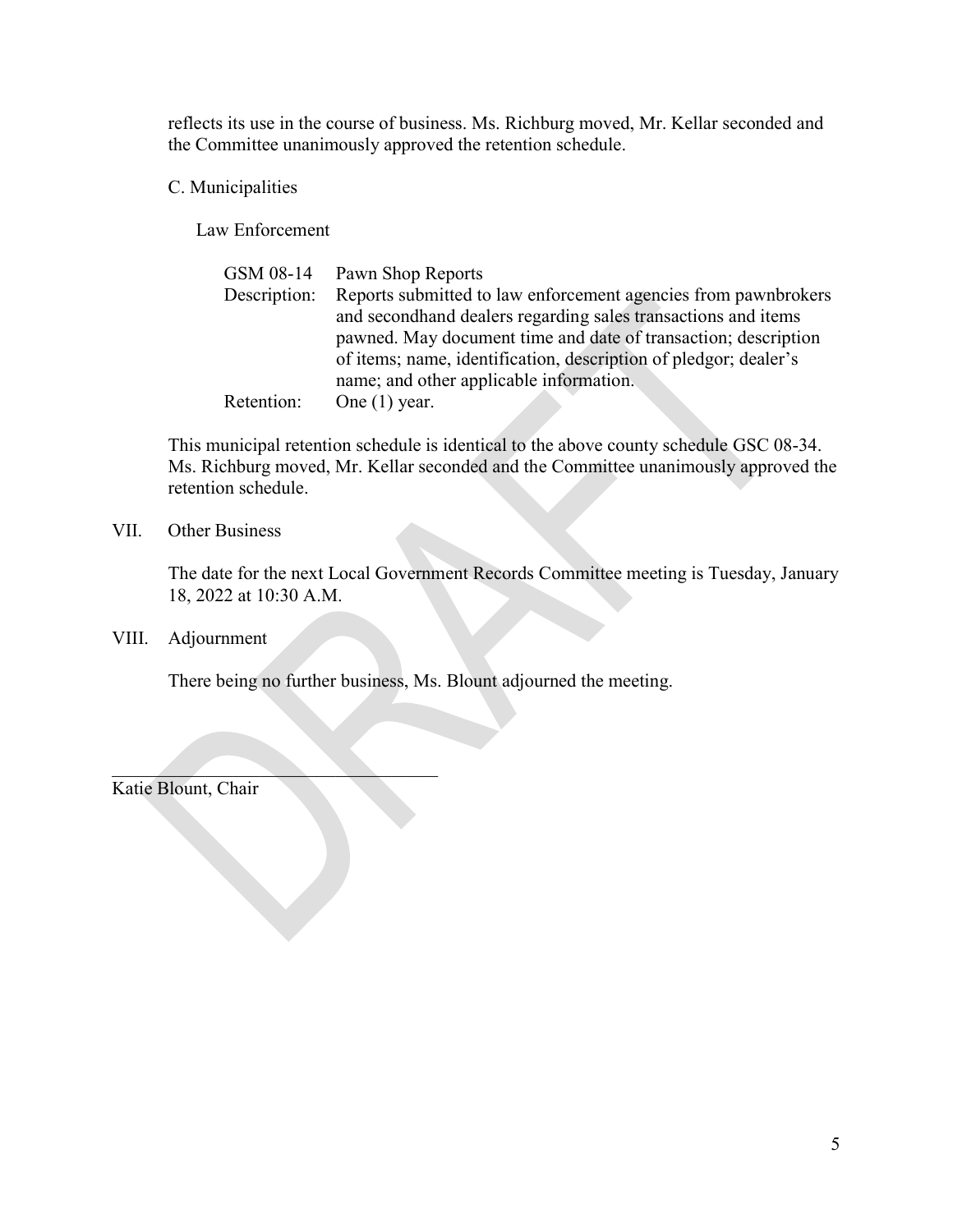reflects its use in the course of business. Ms. Richburg moved, Mr. Kellar seconded and the Committee unanimously approved the retention schedule.

C. Municipalities

Law Enforcement

| GSM 08-14 Pawn Shop Reports                                      |
|------------------------------------------------------------------|
| Reports submitted to law enforcement agencies from pawnbrokers   |
| and second hand dealers regarding sales transactions and items   |
| pawned. May document time and date of transaction; description   |
| of items; name, identification, description of pledgor; dealer's |
| name; and other applicable information.                          |
| One $(1)$ year.                                                  |
|                                                                  |

This municipal retention schedule is identical to the above county schedule GSC 08-34. Ms. Richburg moved, Mr. Kellar seconded and the Committee unanimously approved the retention schedule.

#### VII. Other Business

 The date for the next Local Government Records Committee meeting is Tuesday, January 18, 2022 at 10:30 A.M.

VIII. Adjournment

There being no further business, Ms. Blount adjourned the meeting.

Katie Blount, Chair

 $\mathcal{L}=\mathcal{L}=\mathcal{L}=\mathcal{L}=\mathcal{L}=\mathcal{L}=\mathcal{L}=\mathcal{L}=\mathcal{L}=\mathcal{L}=\mathcal{L}=\mathcal{L}=\mathcal{L}=\mathcal{L}=\mathcal{L}=\mathcal{L}=\mathcal{L}=\mathcal{L}=\mathcal{L}=\mathcal{L}=\mathcal{L}=\mathcal{L}=\mathcal{L}=\mathcal{L}=\mathcal{L}=\mathcal{L}=\mathcal{L}=\mathcal{L}=\mathcal{L}=\mathcal{L}=\mathcal{L}=\mathcal{L}=\mathcal{L}=\mathcal{L}=\mathcal{L}=\mathcal{L}=\mathcal{$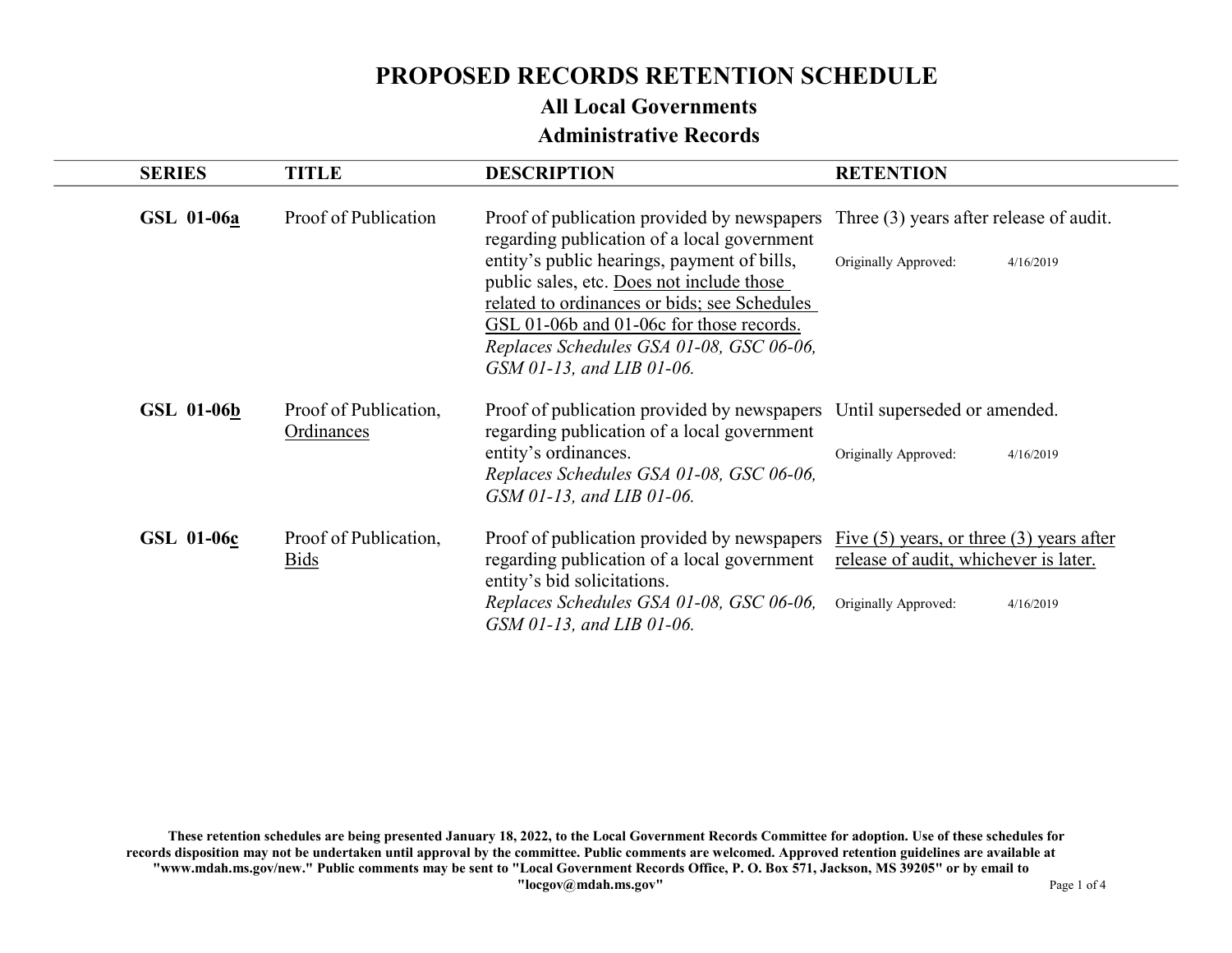### All Local Governments Administrative Records

| <b>SERIES</b>     | <b>TITLE</b>                         | <b>DESCRIPTION</b>                                                                                                                                                                                                                                                                                                                                                                                  | <b>RETENTION</b>                  |
|-------------------|--------------------------------------|-----------------------------------------------------------------------------------------------------------------------------------------------------------------------------------------------------------------------------------------------------------------------------------------------------------------------------------------------------------------------------------------------------|-----------------------------------|
| GSL 01-06a        | Proof of Publication                 | Proof of publication provided by newspapers Three (3) years after release of audit.<br>regarding publication of a local government<br>entity's public hearings, payment of bills,<br>public sales, etc. Does not include those<br>related to ordinances or bids; see Schedules<br>GSL 01-06b and 01-06c for those records.<br>Replaces Schedules GSA 01-08, GSC 06-06,<br>GSM 01-13, and LIB 01-06. | Originally Approved:<br>4/16/2019 |
| <b>GSL 01-06b</b> | Proof of Publication,<br>Ordinances  | Proof of publication provided by newspapers Until superseded or amended.<br>regarding publication of a local government<br>entity's ordinances.<br>Replaces Schedules GSA 01-08, GSC 06-06,<br>GSM 01-13, and LIB 01-06.                                                                                                                                                                            | Originally Approved:<br>4/16/2019 |
| <b>GSL 01-06c</b> | Proof of Publication,<br><b>Bids</b> | Proof of publication provided by newspapers $\overline{Five(5)}$ years, or three (3) years after<br>regarding publication of a local government release of audit, whichever is later.<br>entity's bid solicitations.<br>Replaces Schedules GSA 01-08, GSC 06-06,<br>GSM 01-13, and LIB 01-06.                                                                                                       | Originally Approved:<br>4/16/2019 |

These retention schedules are being presented January 18, 2022, to the Local Government Records Committee for adoption. Use of these schedules for records disposition may not be undertaken until approval by the committee. Public comments are welcomed. Approved retention guidelines are available at "www.mdah.ms.gov/new." Public comments may be sent to "Local Government Records Office, P. O. Box 571, Jackson, MS 39205" or by email to "locgov@mdah.ms.gov" Page 1 of 4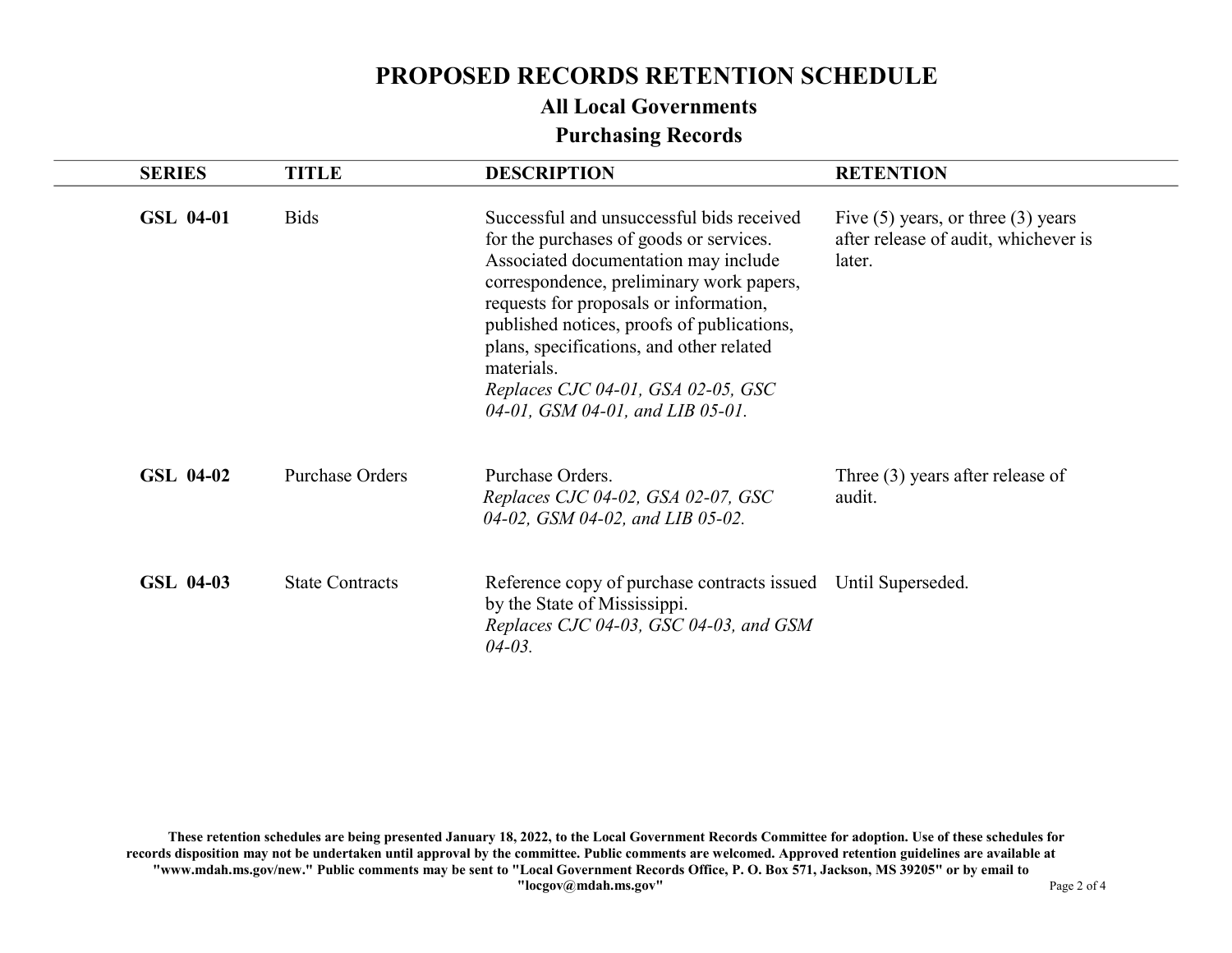# All Local Governments

## Purchasing Records

| <b>SERIES</b> | <b>TITLE</b>           | <b>DESCRIPTION</b>                                                                                                                                                                                                                                                                                                                                                                                   | <b>RETENTION</b>                                                                         |
|---------------|------------------------|------------------------------------------------------------------------------------------------------------------------------------------------------------------------------------------------------------------------------------------------------------------------------------------------------------------------------------------------------------------------------------------------------|------------------------------------------------------------------------------------------|
| GSL 04-01     | <b>Bids</b>            | Successful and unsuccessful bids received<br>for the purchases of goods or services.<br>Associated documentation may include<br>correspondence, preliminary work papers,<br>requests for proposals or information,<br>published notices, proofs of publications,<br>plans, specifications, and other related<br>materials.<br>Replaces CJC 04-01, GSA 02-05, GSC<br>04-01, GSM 04-01, and LIB 05-01. | Five $(5)$ years, or three $(3)$ years<br>after release of audit, whichever is<br>later. |
| GSL 04-02     | <b>Purchase Orders</b> | Purchase Orders.<br>Replaces CJC 04-02, GSA 02-07, GSC<br>04-02, GSM 04-02, and LIB 05-02.                                                                                                                                                                                                                                                                                                           | Three $(3)$ years after release of<br>audit.                                             |
| GSL 04-03     | <b>State Contracts</b> | Reference copy of purchase contracts issued Until Superseded.<br>by the State of Mississippi.<br>Replaces CJC 04-03, GSC 04-03, and GSM<br>$04 - 03$ .                                                                                                                                                                                                                                               |                                                                                          |

These retention schedules are being presented January 18, 2022, to the Local Government Records Committee for adoption. Use of these schedules for records disposition may not be undertaken until approval by the committee. Public comments are welcomed. Approved retention guidelines are available at "www.mdah.ms.gov/new." Public comments may be sent to "Local Government Records Office, P. O. Box 571, Jackson, MS 39205" or by email to "locgov@mdah.ms.gov" Page 2 of 4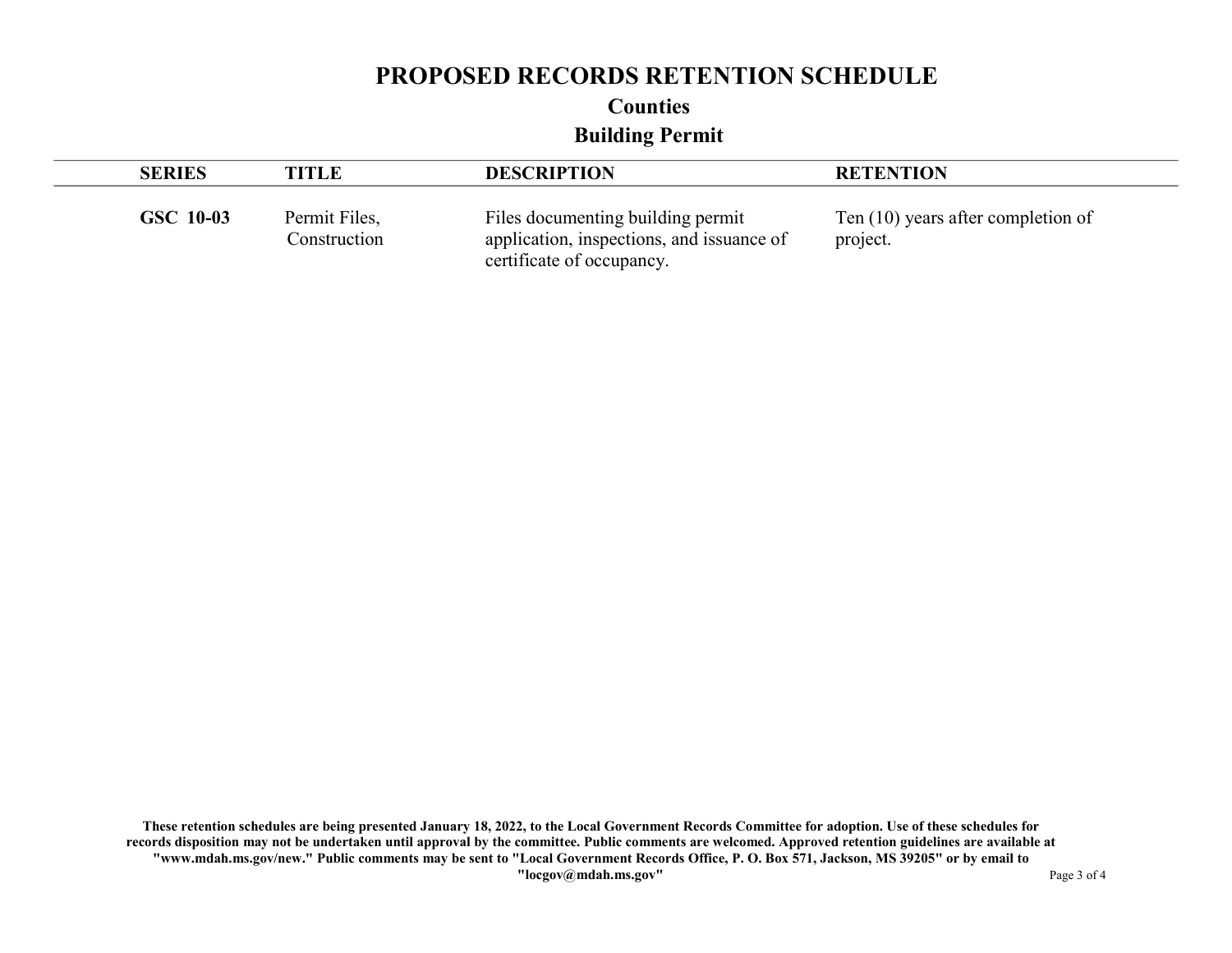Counties

Building Permit

| <b>SERIES</b> | TITLE                         | <b>DESCRIPTION</b>                                                                                          | <b>RETENTION</b>                                 |
|---------------|-------------------------------|-------------------------------------------------------------------------------------------------------------|--------------------------------------------------|
| GSC 10-03     | Permit Files,<br>Construction | Files documenting building permit<br>application, inspections, and issuance of<br>certificate of occupancy. | Ten $(10)$ years after completion of<br>project. |

These retention schedules are being presented January 18, 2022, to the Local Government Records Committee for adoption. Use of these schedules for records disposition may not be undertaken until approval by the committee. Public comments are welcomed. Approved retention guidelines are available at "www.mdah.ms.gov/new." Public comments may be sent to "Local Government Records Office, P. O. Box 571, Jackson, MS 39205" or by email to "locgov@mdah.ms.gov" Page 3 of 4